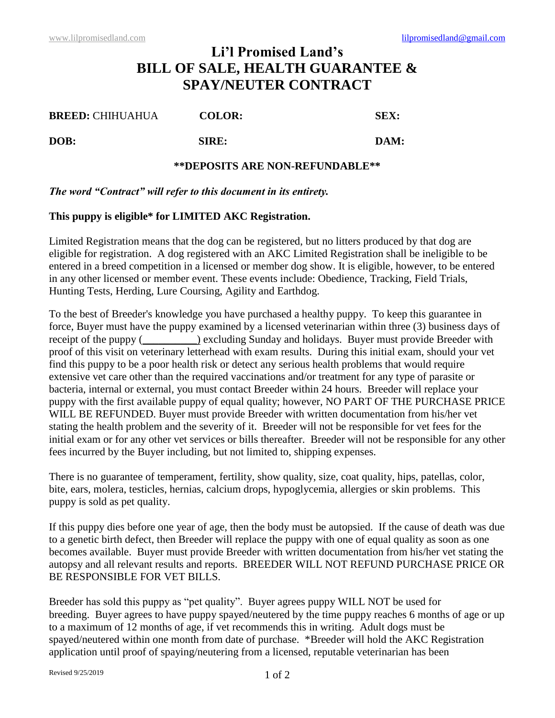# **Li'l Promised Land's BILL OF SALE, HEALTH GUARANTEE & SPAY/NEUTER CONTRACT**

| <b>BREED: CHIHUAHUA</b> | <b>COLOR:</b> | SEX: |
|-------------------------|---------------|------|
| DOB:                    | SIRE:         | DAM: |

### **\*\*DEPOSITS ARE NON-REFUNDABLE\*\***

### *The word "Contract" will refer to this document in its entirety.*

## **This puppy is eligible\* for LIMITED AKC Registration.**

Limited Registration means that the dog can be registered, but no litters produced by that dog are eligible for registration. A dog registered with an AKC Limited Registration shall be ineligible to be entered in a breed competition in a licensed or member dog show. It is eligible, however, to be entered in any other licensed or member event. These events include: Obedience, Tracking, Field Trials, Hunting Tests, Herding, Lure Coursing, Agility and Earthdog.

To the best of Breeder's knowledge you have purchased a healthy puppy. To keep this guarantee in force, Buyer must have the puppy examined by a licensed veterinarian within three (3) business days of receipt of the puppy (
( $\qquad$ ) excluding Sunday and holidays. Buyer must provide Breeder with proof of this visit on veterinary letterhead with exam results. During this initial exam, should your vet find this puppy to be a poor health risk or detect any serious health problems that would require extensive vet care other than the required vaccinations and/or treatment for any type of parasite or bacteria, internal or external, you must contact Breeder within 24 hours. Breeder will replace your puppy with the first available puppy of equal quality; however, NO PART OF THE PURCHASE PRICE WILL BE REFUNDED. Buyer must provide Breeder with written documentation from his/her vet stating the health problem and the severity of it. Breeder will not be responsible for vet fees for the initial exam or for any other vet services or bills thereafter. Breeder will not be responsible for any other fees incurred by the Buyer including, but not limited to, shipping expenses.

There is no guarantee of temperament, fertility, show quality, size, coat quality, hips, patellas, color, bite, ears, molera, testicles, hernias, calcium drops, hypoglycemia, allergies or skin problems. This puppy is sold as pet quality.

If this puppy dies before one year of age, then the body must be autopsied. If the cause of death was due to a genetic birth defect, then Breeder will replace the puppy with one of equal quality as soon as one becomes available. Buyer must provide Breeder with written documentation from his/her vet stating the autopsy and all relevant results and reports. BREEDER WILL NOT REFUND PURCHASE PRICE OR BE RESPONSIBLE FOR VET BILLS.

Breeder has sold this puppy as "pet quality". Buyer agrees puppy WILL NOT be used for breeding. Buyer agrees to have puppy spayed/neutered by the time puppy reaches 6 months of age or up to a maximum of 12 months of age, if vet recommends this in writing. Adult dogs must be spayed/neutered within one month from date of purchase. \*Breeder will hold the AKC Registration application until proof of spaying/neutering from a licensed, reputable veterinarian has been